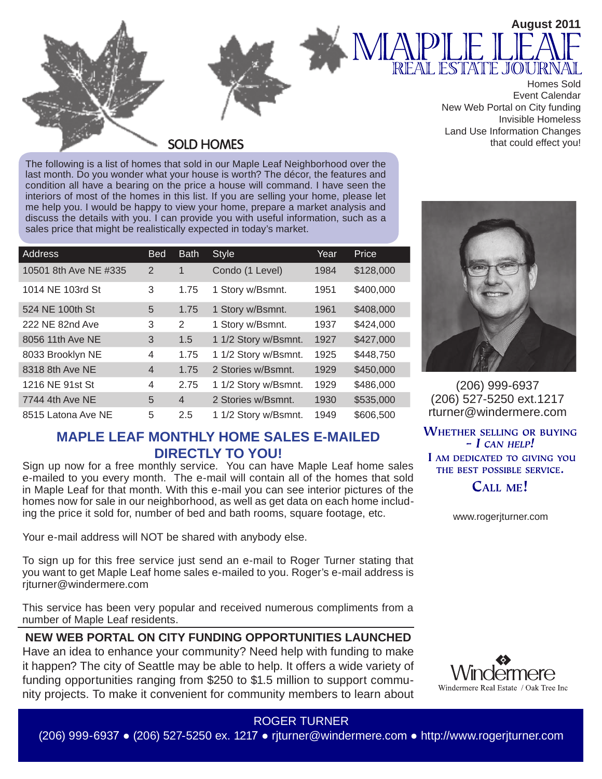



Homes Sold Event Calendar New Web Portal on City funding Invisible Homeless Land Use Information Changes that could effect you!

**August 2011**

**SOLD HOMES** 

The following is a list of homes that sold in our Maple Leaf Neighborhood over the last month. Do you wonder what your house is worth? The décor, the features and condition all have a bearing on the price a house will command. I have seen the interiors of most of the homes in this list. If you are selling your home, please let me help you. I would be happy to view your home, prepare a market analysis and discuss the details with you. I can provide you with useful information, such as a sales price that might be realistically expected in today's market.

| Address               | <b>Bed</b>     | <b>Bath</b>    | <b>Style</b>         | Year | Price     |
|-----------------------|----------------|----------------|----------------------|------|-----------|
| 10501 8th Ave NE #335 | $\overline{2}$ | $\mathbf{1}$   | Condo (1 Level)      | 1984 | \$128,000 |
| 1014 NE 103rd St      | 3              | 1.75           | 1 Story w/Bsmnt.     | 1951 | \$400,000 |
| 524 NE 100th St       | 5              | 1.75           | 1 Story w/Bsmnt.     | 1961 | \$408,000 |
| 222 NE 82nd Ave       | 3              | 2              | 1 Story w/Bsmnt.     | 1937 | \$424,000 |
| 8056 11th Ave NE      | 3              | 1.5            | 1 1/2 Story w/Bsmnt. | 1927 | \$427,000 |
| 8033 Brooklyn NE      | $\overline{4}$ | 1.75           | 1 1/2 Story w/Bsmnt. | 1925 | \$448,750 |
| 8318 8th Ave NE       | $\overline{4}$ | 1.75           | 2 Stories w/Bsmnt.   | 1929 | \$450,000 |
| 1216 NE 91st St       | $\overline{4}$ | 2.75           | 1 1/2 Story w/Bsmnt. | 1929 | \$486,000 |
| 7744 4th Ave NE       | 5              | $\overline{4}$ | 2 Stories w/Bsmnt.   | 1930 | \$535,000 |
| 8515 Latona Ave NE    | 5              | 2.5            | 1 1/2 Story w/Bsmnt. | 1949 | \$606,500 |

## **MAPLE LEAF MONTHLY HOME SALES E-MAILED DIRECTLY TO YOU!**

Sign up now for a free monthly service. You can have Maple Leaf home sales e-mailed to you every month. The e-mail will contain all of the homes that sold in Maple Leaf for that month. With this e-mail you can see interior pictures of the homes now for sale in our neighborhood, as well as get data on each home including the price it sold for, number of bed and bath rooms, square footage, etc.

Your e-mail address will NOT be shared with anybody else.

To sign up for this free service just send an e-mail to Roger Turner stating that you want to get Maple Leaf home sales e-mailed to you. Roger's e-mail address is rjturner@windermere.com

This service has been very popular and received numerous compliments from a number of Maple Leaf residents.

**NEW WEB PORTAL ON CITY FUNDING OPPORTUNITIES LAUNCHED**  Have an idea to enhance your community? Need help with funding to make it happen? The city of Seattle may be able to help. It offers a wide variety of funding opportunities ranging from \$250 to \$1.5 million to support community projects. To make it convenient for community members to learn about



(206) 999-6937 (206) 527-5250 ext.1217 rturner@windermere.com

**WHETHER SELLING OR BUYING**  $- I$  CAN HELP! I AM DEDICATED TO GIVING YOU THE BEST POSSIBLE SERVICE.

CALL ME!

www.rogerjturner.com



# ROGER TURNER

(206) 999-6937 ● (206) 527-5250 ex. 1217 ● rjturner@windermere.com ● http://www.rogerjturner.com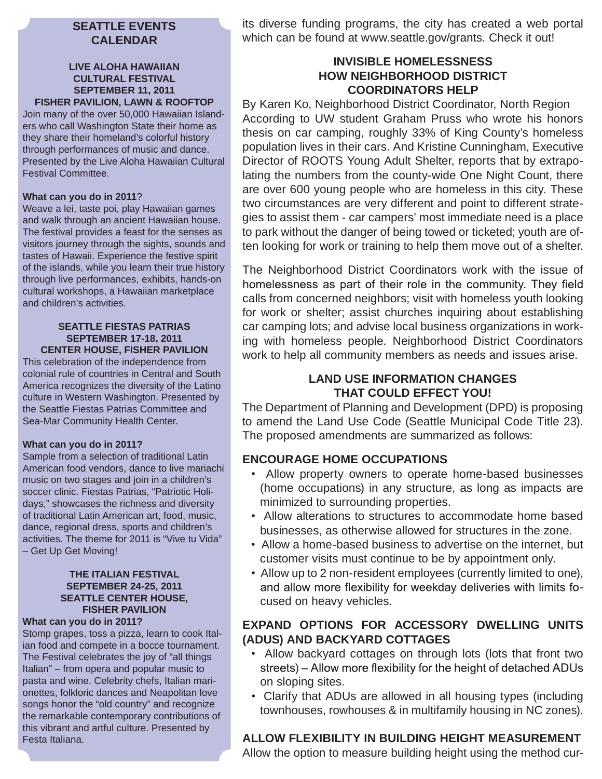## **SEATTLE EVENTS CALENDAR**

## **LIVE ALOHA HAWAIIAN CULTURAL FESTIVAL SEPTEMBER 11, 2011 FISHER PAVILION, LAWN & ROOFTOP**

Join many of the over 50,000 Hawaiian Islanders who call Washington State their home as they share their homeland's colorful history through performances of music and dance. Presented by the Live Aloha Hawaiian Cultural Festival Committee.

## **What can you do in 2011**?

Weave a lei, taste poi, play Hawaiian games and walk through an ancient Hawaiian house. The festival provides a feast for the senses as visitors journey through the sights, sounds and tastes of Hawaii. Experience the festive spirit of the islands, while you learn their true history through live performances, exhibits, hands-on cultural workshops, a Hawaiian marketplace and children's activities.

#### **SEATTLE FIESTAS PATRIAS SEPTEMBER 17-18, 2011 CENTER HOUSE, FISHER PAVILION**

This celebration of the independence from colonial rule of countries in Central and South America recognizes the diversity of the Latino culture in Western Washington. Presented by the Seattle Fiestas Patrias Committee and Sea-Mar Community Health Center.

## **What can you do in 2011?**

Sample from a selection of traditional Latin American food vendors, dance to live mariachi music on two stages and join in a children's soccer clinic. Fiestas Patrias, "Patriotic Holidays," showcases the richness and diversity of traditional Latin American art, food, music, dance, regional dress, sports and children's activities. The theme for 2011 is "Vive tu Vida" – Get Up Get Moving!

## **THE ITALIAN FESTIVAL SEPTEMBER 24-25, 2011 SEATTLE CENTER HOUSE, FISHER PAVILION**

### **What can you do in 2011?**

Stomp grapes, toss a pizza, learn to cook Italian food and compete in a bocce tournament. The Festival celebrates the joy of "all things Italian" – from opera and popular music to pasta and wine. Celebrity chefs, Italian marionettes, folkloric dances and Neapolitan love songs honor the "old country" and recognize the remarkable contemporary contributions of this vibrant and artful culture. Presented by Festa Italiana.

its diverse funding programs, the city has created a web portal which can be found at www.seattle.gov/grants. Check it out!

## **INVISIBLE HOMELESSNESS HOW NEIGHBORHOOD DISTRICT COORDINATORS HELP**

By Karen Ko, Neighborhood District Coordinator, North Region According to UW student Graham Pruss who wrote his honors thesis on car camping, roughly 33% of King County's homeless population lives in their cars. And Kristine Cunningham, Executive Director of ROOTS Young Adult Shelter, reports that by extrapolating the numbers from the county-wide One Night Count, there are over 600 young people who are homeless in this city. These two circumstances are very different and point to different strategies to assist them - car campers' most immediate need is a place to park without the danger of being towed or ticketed; youth are often looking for work or training to help them move out of a shelter.

The Neighborhood District Coordinators work with the issue of homelessness as part of their role in the community. They field calls from concerned neighbors; visit with homeless youth looking for work or shelter; assist churches inquiring about establishing car camping lots; and advise local business organizations in working with homeless people. Neighborhood District Coordinators work to help all community members as needs and issues arise.

## **LAND USE INFORMATION CHANGES THAT COULD EFFECT YOU!**

The Department of Planning and Development (DPD) is proposing to amend the Land Use Code (Seattle Municipal Code Title 23). The proposed amendments are summarized as follows:

## **ENCOURAGE HOME OCCUPATIONS**

- Allow property owners to operate home-based businesses (home occupations) in any structure, as long as impacts are minimized to surrounding properties.
- Allow alterations to structures to accommodate home based businesses, as otherwise allowed for structures in the zone.
- Allow a home-based business to advertise on the internet, but customer visits must continue to be by appointment only.
- Allow up to 2 non-resident employees (currently limited to one), and allow more flexibility for weekday deliveries with limits focused on heavy vehicles.

## **EXPAND OPTIONS FOR ACCESSORY DWELLING UNITS (ADUS) AND BACKYARD COTTAGES**

- Allow backyard cottages on through lots (lots that front two streets) - Allow more flexibility for the height of detached ADUs on sloping sites.
- Clarify that ADUs are allowed in all housing types (including townhouses, rowhouses & in multifamily housing in NC zones).

## **ALLOW FLEXIBILITY IN BUILDING HEIGHT MEASUREMENT**

Allow the option to measure building height using the method cur-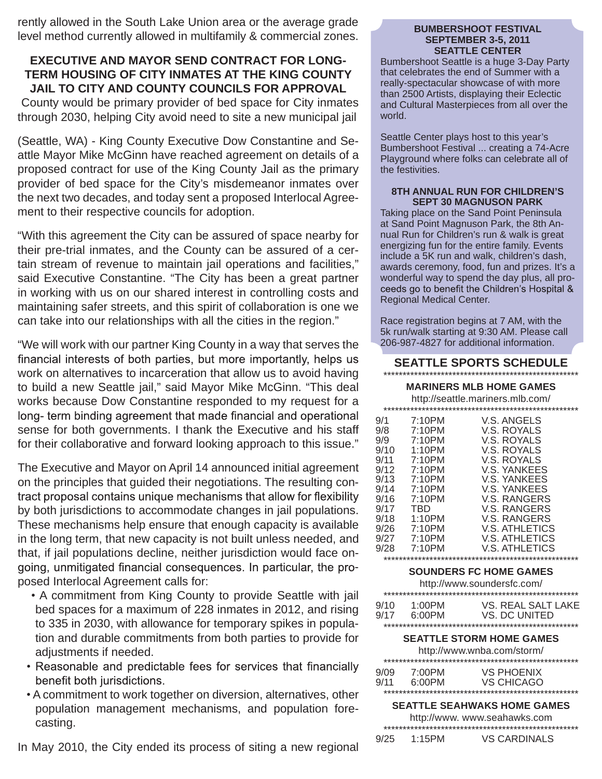rently allowed in the South Lake Union area or the average grade level method currently allowed in multifamily & commercial zones.

## **EXECUTIVE AND MAYOR SEND CONTRACT FOR LONG-TERM HOUSING OF CITY INMATES AT THE KING COUNTY JAIL TO CITY AND COUNTY COUNCILS FOR APPROVAL**

 County would be primary provider of bed space for City inmates through 2030, helping City avoid need to site a new municipal jail

(Seattle, WA) - King County Executive Dow Constantine and Seattle Mayor Mike McGinn have reached agreement on details of a proposed contract for use of the King County Jail as the primary provider of bed space for the City's misdemeanor inmates over the next two decades, and today sent a proposed Interlocal Agreement to their respective councils for adoption.

"With this agreement the City can be assured of space nearby for their pre-trial inmates, and the County can be assured of a certain stream of revenue to maintain jail operations and facilities," said Executive Constantine. "The City has been a great partner in working with us on our shared interest in controlling costs and maintaining safer streets, and this spirit of collaboration is one we can take into our relationships with all the cities in the region."

"We will work with our partner King County in a way that serves the financial interests of both parties, but more importantly, helps us work on alternatives to incarceration that allow us to avoid having to build a new Seattle jail," said Mayor Mike McGinn. "This deal works because Dow Constantine responded to my request for a long-term binding agreement that made financial and operational sense for both governments. I thank the Executive and his staff for their collaborative and forward looking approach to this issue."

The Executive and Mayor on April 14 announced initial agreement on the principles that guided their negotiations. The resulting contract proposal contains unique mechanisms that allow for flexibility by both jurisdictions to accommodate changes in jail populations. These mechanisms help ensure that enough capacity is available in the long term, that new capacity is not built unless needed, and that, if jail populations decline, neither jurisdiction would face on going, unmitigated financial consequences. In particular, the proposed Interlocal Agreement calls for:

- A commitment from King County to provide Seattle with jail bed spaces for a maximum of 228 inmates in 2012, and rising to 335 in 2030, with allowance for temporary spikes in population and durable commitments from both parties to provide for adjustments if needed.
- Reasonable and predictable fees for services that financially benefit both jurisdictions.
- A commitment to work together on diversion, alternatives, other population management mechanisms, and population forecasting.

In May 2010, the City ended its process of siting a new regional

#### **BUMBERSHOOT FESTIVAL SEPTEMBER 3-5, 2011 SEATTLE CENTER**

Bumbershoot Seattle is a huge 3-Day Party that celebrates the end of Summer with a really-spectacular showcase of with more than 2500 Artists, displaying their Eclectic and Cultural Masterpieces from all over the world.

Seattle Center plays host to this year's Bumbershoot Festival ... creating a 74-Acre Playground where folks can celebrate all of the festivities.

#### **8TH ANNUAL RUN FOR CHILDREN'S SEPT 30 MAGNUSON PARK**

Taking place on the Sand Point Peninsula at Sand Point Magnuson Park, the 8th Annual Run for Children's run & walk is great energizing fun for the entire family. Events include a 5K run and walk, children's dash, awards ceremony, food, fun and prizes. It's a wonderful way to spend the day plus, all pro-<br>ceeds go to benefit the Children's Hospital & Regional Medical Center.

Race registration begins at 7 AM, with the 5k run/walk starting at 9:30 AM. Please call 206-987-4827 for additional information.

#### **SEATTLE SPORTS SCHEDULE** \*\*\*\*\*\*\*\*\*\*\*\*\*\*\*\*\*\*\*\*\*\*\*\*\*\*\*\*\*\*\*\*\*\*\*\*\*\*\*\*\*\*\*\*\*\*\*\*\*\*\*

#### **MARINERS MLB HOME GAMES**

http://seattle.mariners.mlb.com/

| 9/1<br>9/8<br>9/9<br>9/10<br>9/11<br>9/12<br>9/13<br>9/14<br>9/16<br>9/17<br>9/18<br>9/26 | 7:10PM<br>7:10PM<br>7:10PM<br>1:10PM<br>7:10PM<br>7:10PM<br>7:10PM<br>7:10PM<br>7:10PM<br>TBD<br>1:10PM<br>7:10PM | V.S. ANGELS<br>V.S. ROYALS<br>V.S. ROYALS<br>V.S. ROYALS<br>V.S. ROYALS<br>V.S. YANKEES<br>V.S. YANKEES<br>V.S. YANKEES<br>V.S. RANGERS<br>V.S. RANGERS<br>V.S. RANGERS<br>V.S. ATHLETICS |
|-------------------------------------------------------------------------------------------|-------------------------------------------------------------------------------------------------------------------|-------------------------------------------------------------------------------------------------------------------------------------------------------------------------------------------|
|                                                                                           |                                                                                                                   |                                                                                                                                                                                           |
| 9/27<br>9/28                                                                              | 7:10PM<br>7:10PM                                                                                                  | V.S. ATHLETICS<br>V.S. ATHLETICS                                                                                                                                                          |
|                                                                                           |                                                                                                                   |                                                                                                                                                                                           |

#### **SOUNDERS FC HOME GAMES**

|              |                     | http://www.soundersfc.com/          |
|--------------|---------------------|-------------------------------------|
|              |                     |                                     |
| 9/10<br>9/17 | $1:00$ PM<br>6:00PM | VS. REAL SALT LAKE<br>VS. DC UNITED |
|              |                     |                                     |
|              |                     |                                     |
|              |                     |                                     |

#### **SEATTLE STORM HOME GAMES**

|      |        | http://www.wnba.com/storm/                                                                                       |
|------|--------|------------------------------------------------------------------------------------------------------------------|
|      |        |                                                                                                                  |
| 9/09 | 7:00PM | VS PHOENIX                                                                                                       |
| 9/11 | 6:00PM | VS CHICAGO                                                                                                       |
|      |        | ղի դիպիսի դիպիսի դիպիսի դիպիսի դիպիսի դիպիսի դիպիսի դիպիսի դիպիսի դիպիսի դիպիսի դիպիսի դիպիսի դիպիսի դիպիսի դիպի |

## **SEATTLE SEAHWAKS HOME GAMES**

| http://www.www.seahawks.com |        |                     |  |
|-----------------------------|--------|---------------------|--|
|                             |        |                     |  |
| 9/25                        | 1:15PM | <b>VS CARDINALS</b> |  |